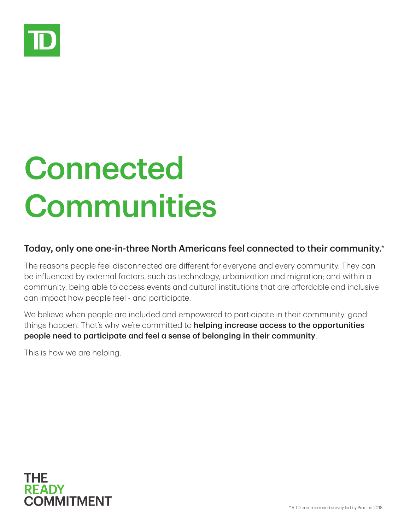

## Connected **Communities**

## Today, only one one-in-three North Americans feel connected to their community.\*

The reasons people feel disconnected are diferent for everyone and every community. They can be influenced by external factors, such as technology, urbanization and migration; and within a community, being able to access events and cultural institutions that are afordable and inclusive can impact how people feel - and participate.

We believe when people are included and empowered to participate in their community, good things happen. That's why we're committed to **helping increase access to the opportunities** people need to participate and feel a sense of belonging in their community.

This is how we are helping.